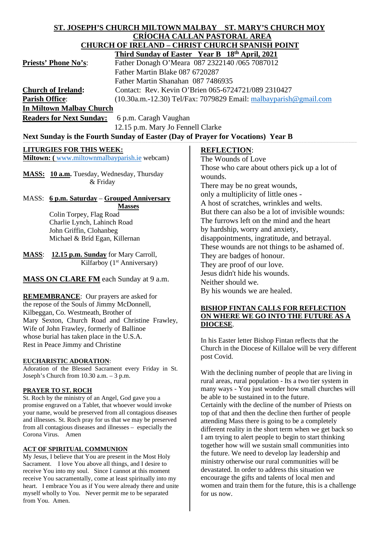#### **ST. JOSEPH'S CHURCH MILTOWN MALBAY ST. MARY'S CHURCH MOY CRÍOCHA CALLAN PASTORAL AREA CHURCH OF IRELAND – CHRIST CHURCH SPANISH POINT Third Sunday of Easter Year B 18th April, 2021**

|                                 | THE BUILDAY OF EASILE THAT DE TO APPER, 2021                        |
|---------------------------------|---------------------------------------------------------------------|
| <b>Priests' Phone No's:</b>     | Father Donagh O'Meara 087 2322140 /065 7087012                      |
|                                 | Father Martin Blake 087 6720287                                     |
|                                 | Father Martin Shanahan 087 7486935                                  |
| <b>Church of Ireland:</b>       | Contact: Rev. Kevin O'Brien 065-6724721/089 2310427                 |
| <b>Parish Office:</b>           | $(10.30a.m.-12.30)$ Tel/Fax: 7079829 Email: malbayparish @gmail.com |
| <b>In Miltown Malbay Church</b> |                                                                     |

**Readers for Next Sunday:** 6 p.m. Caragh Vaughan 12.15 p.m. Mary Jo Fennell Clarke

# Next Sunday is the Fourth Sunday of Easter (Day of Prayer for Vocations) Year B

#### **LITURGIES FOR THIS WEEK:**

**Miltown: (** [www.miltownmalbayparish.ie](http://www.miltownmalbayparish.ie/) webcam)

**MASS: 10 a.m.** Tuesday, Wednesday, Thursday & Friday

# MASS: **6 p.m. Saturday** – **Grouped Anniversary Masses** Colin Torpey, Flag Road

 Charlie Lynch, Lahinch Road John Griffin, Clohanbeg Michael & Bríd Egan, Killernan

**MASS**: **12.15 p.m. Sunday** for Mary Carroll, Kilfarboy (1st Anniversary)

# **MASS ON CLARE FM** each Sunday at 9 a.m.

**REMEMBRANCE**: Our prayers are asked for the repose of the Souls of Jimmy McDonnell, Kilbeggan, Co. Westmeath, Brother of Mary Sexton, Church Road and Christine Frawley, Wife of John Frawley, formerly of Ballinoe whose burial has taken place in the U.S.A. Rest in Peace Jimmy and Christine

#### **EUCHARISTIC ADORATION**:

Adoration of the Blessed Sacrament every Friday in St. Joseph's Church from 10.30 a.m. – 3 p.m.

#### **PRAYER TO ST. ROCH**

St. Roch by the ministry of an Angel, God gave you a promise engraved on a Tablet, that whoever would invoke your name, would be preserved from all contagious diseases and illnesses. St. Roch pray for us that we may be preserved from all contagious diseases and illnesses – especially the Corona Virus. Amen

#### **ACT OF SPIRITUAL COMMUNION**

My Jesus, I believe that You are present in the Most Holy Sacrament. I love You above all things, and I desire to receive You into my soul. Since I cannot at this moment receive You sacramentally, come at least spiritually into my heart. I embrace You as if You were already there and unite myself wholly to You. Never permit me to be separated from You. Amen.

# **REFLECTION**:

The Wounds of Love Those who care about others pick up a lot of wounds. There may be no great wounds, only a multiplicity of little ones - A host of scratches, wrinkles and welts. But there can also be a lot of invisible wounds: The furrows left on the mind and the heart by hardship, worry and anxiety, disappointments, ingratitude, and betrayal. These wounds are not things to be ashamed of. They are badges of honour. They are proof of our love. Jesus didn't hide his wounds. Neither should we. By his wounds we are healed.

#### **BISHOP FINTAN CALLS FOR REFLECTION ON WHERE WE GO INTO THE FUTURE AS A DIOCESE**.

In his Easter letter Bishop Fintan reflects that the Church in the Diocese of Killaloe will be very different post Covid.

With the declining number of people that are living in rural areas, rural population - Its a two tier system in many ways - You just wonder how small churches will be able to be sustained in to the future.

Certainly with the decline of the number of Priests on top of that and then the decline then further of people attending Mass there is going to be a completely different reality in the short term when we get back so I am trying to alert people to begin to start thinking together how will we sustain small communities into the future. We need to develop lay leadership and ministry otherwise our rural communities will be devastated. In order to address this situation we encourage the gifts and talents of local men and women and train them for the future, this is a challenge for us now.